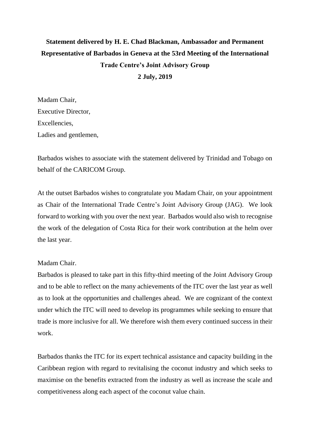## **Statement delivered by H. E. Chad Blackman, Ambassador and Permanent Representative of Barbados in Geneva at the 53rd Meeting of the International Trade Centre's Joint Advisory Group 2 July, 2019**

Madam Chair, Executive Director, **Excellencies** Ladies and gentlemen,

Barbados wishes to associate with the statement delivered by Trinidad and Tobago on behalf of the CARICOM Group.

At the outset Barbados wishes to congratulate you Madam Chair, on your appointment as Chair of the International Trade Centre's Joint Advisory Group (JAG). We look forward to working with you over the next year. Barbados would also wish to recognise the work of the delegation of Costa Rica for their work contribution at the helm over the last year.

## Madam Chair.

Barbados is pleased to take part in this fifty-third meeting of the Joint Advisory Group and to be able to reflect on the many achievements of the ITC over the last year as well as to look at the opportunities and challenges ahead. We are cognizant of the context under which the ITC will need to develop its programmes while seeking to ensure that trade is more inclusive for all. We therefore wish them every continued success in their work.

Barbados thanks the ITC for its expert technical assistance and capacity building in the Caribbean region with regard to revitalising the coconut industry and which seeks to maximise on the benefits extracted from the industry as well as increase the scale and competitiveness along each aspect of the coconut value chain.